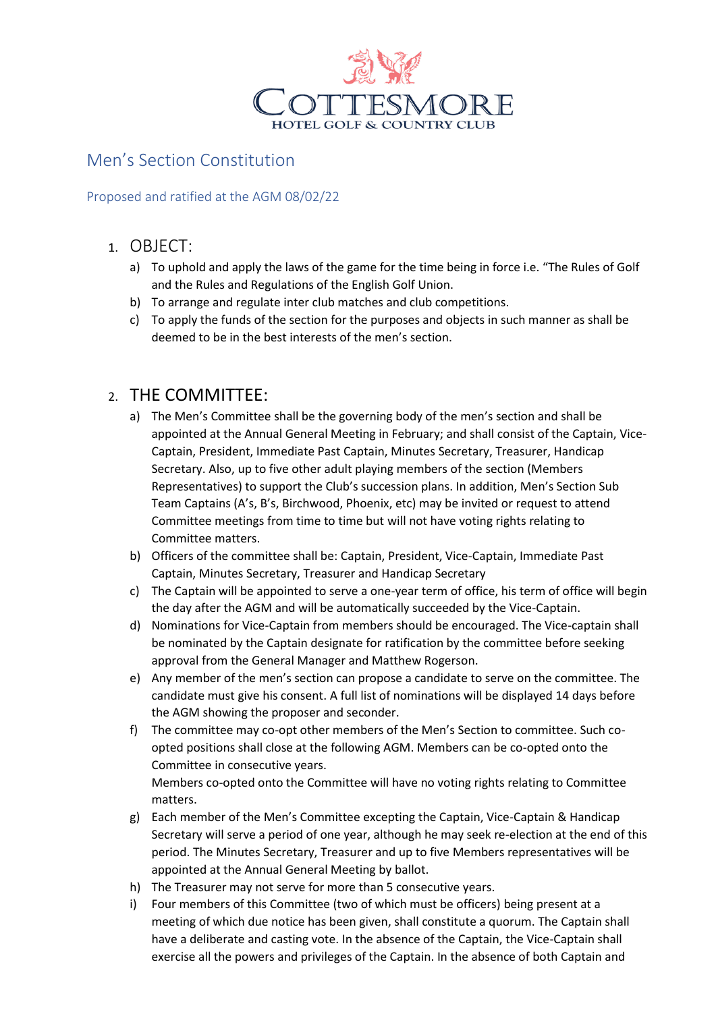

### Men's Section Constitution

Proposed and ratified at the AGM 08/02/22

#### 1. OBJECT:

- a) To uphold and apply the laws of the game for the time being in force i.e. "The Rules of Golf and the Rules and Regulations of the English Golf Union.
- b) To arrange and regulate inter club matches and club competitions.
- c) To apply the funds of the section for the purposes and objects in such manner as shall be deemed to be in the best interests of the men's section.

### 2. THE COMMITTEE:

- a) The Men's Committee shall be the governing body of the men's section and shall be appointed at the Annual General Meeting in February; and shall consist of the Captain, Vice-Captain, President, Immediate Past Captain, Minutes Secretary, Treasurer, Handicap Secretary. Also, up to five other adult playing members of the section (Members Representatives) to support the Club's succession plans. In addition, Men's Section Sub Team Captains (A's, B's, Birchwood, Phoenix, etc) may be invited or request to attend Committee meetings from time to time but will not have voting rights relating to Committee matters.
- b) Officers of the committee shall be: Captain, President, Vice-Captain, Immediate Past Captain, Minutes Secretary, Treasurer and Handicap Secretary
- c) The Captain will be appointed to serve a one-year term of office, his term of office will begin the day after the AGM and will be automatically succeeded by the Vice-Captain.
- d) Nominations for Vice-Captain from members should be encouraged. The Vice-captain shall be nominated by the Captain designate for ratification by the committee before seeking approval from the General Manager and Matthew Rogerson.
- e) Any member of the men's section can propose a candidate to serve on the committee. The candidate must give his consent. A full list of nominations will be displayed 14 days before the AGM showing the proposer and seconder.
- f) The committee may co-opt other members of the Men's Section to committee. Such coopted positions shall close at the following AGM. Members can be co-opted onto the Committee in consecutive years. Members co-opted onto the Committee will have no voting rights relating to Committee matters.
- g) Each member of the Men's Committee excepting the Captain, Vice-Captain & Handicap Secretary will serve a period of one year, although he may seek re-election at the end of this period. The Minutes Secretary, Treasurer and up to five Members representatives will be appointed at the Annual General Meeting by ballot.
- h) The Treasurer may not serve for more than 5 consecutive years.
- i) Four members of this Committee (two of which must be officers) being present at a meeting of which due notice has been given, shall constitute a quorum. The Captain shall have a deliberate and casting vote. In the absence of the Captain, the Vice-Captain shall exercise all the powers and privileges of the Captain. In the absence of both Captain and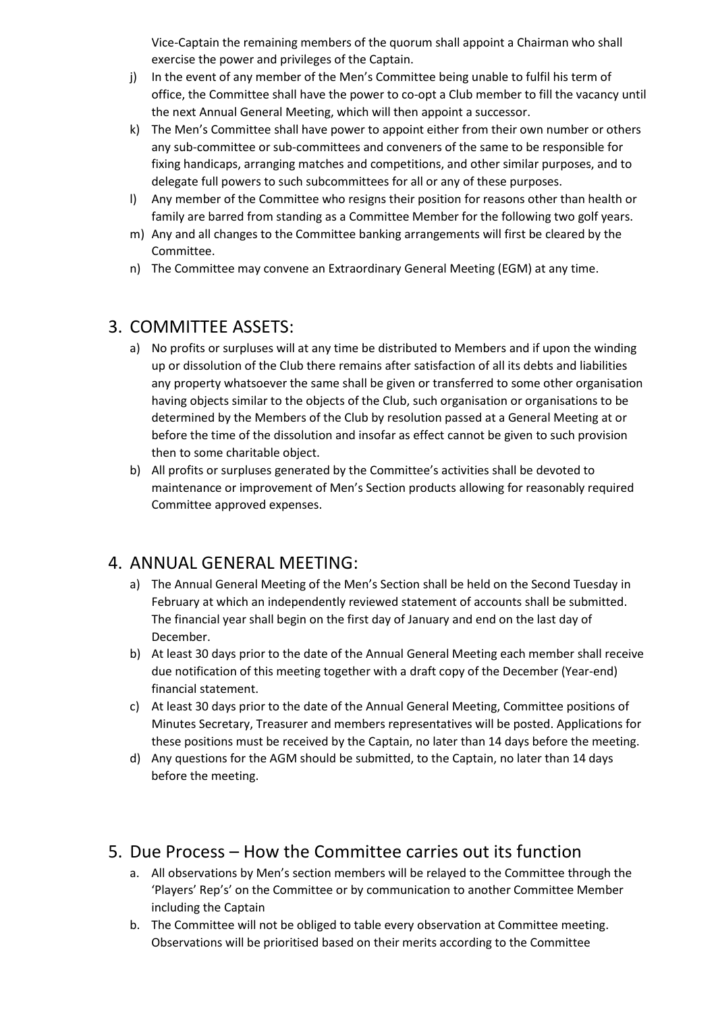Vice-Captain the remaining members of the quorum shall appoint a Chairman who shall exercise the power and privileges of the Captain.

- j) In the event of any member of the Men's Committee being unable to fulfil his term of office, the Committee shall have the power to co-opt a Club member to fill the vacancy until the next Annual General Meeting, which will then appoint a successor.
- k) The Men's Committee shall have power to appoint either from their own number or others any sub-committee or sub-committees and conveners of the same to be responsible for fixing handicaps, arranging matches and competitions, and other similar purposes, and to delegate full powers to such subcommittees for all or any of these purposes.
- l) Any member of the Committee who resigns their position for reasons other than health or family are barred from standing as a Committee Member for the following two golf years.
- m) Any and all changes to the Committee banking arrangements will first be cleared by the Committee.
- n) The Committee may convene an Extraordinary General Meeting (EGM) at any time.

### 3. COMMITTEE ASSETS:

- a) No profits or surpluses will at any time be distributed to Members and if upon the winding up or dissolution of the Club there remains after satisfaction of all its debts and liabilities any property whatsoever the same shall be given or transferred to some other organisation having objects similar to the objects of the Club, such organisation or organisations to be determined by the Members of the Club by resolution passed at a General Meeting at or before the time of the dissolution and insofar as effect cannot be given to such provision then to some charitable object.
- b) All profits or surpluses generated by the Committee's activities shall be devoted to maintenance or improvement of Men's Section products allowing for reasonably required Committee approved expenses.

### 4. ANNUAL GENERAL MEETING:

- a) The Annual General Meeting of the Men's Section shall be held on the Second Tuesday in February at which an independently reviewed statement of accounts shall be submitted. The financial year shall begin on the first day of January and end on the last day of December.
- b) At least 30 days prior to the date of the Annual General Meeting each member shall receive due notification of this meeting together with a draft copy of the December (Year-end) financial statement.
- c) At least 30 days prior to the date of the Annual General Meeting, Committee positions of Minutes Secretary, Treasurer and members representatives will be posted. Applications for these positions must be received by the Captain, no later than 14 days before the meeting.
- d) Any questions for the AGM should be submitted, to the Captain, no later than 14 days before the meeting.

# 5. Due Process – How the Committee carries out its function

- a. All observations by Men's section members will be relayed to the Committee through the 'Players' Rep's' on the Committee or by communication to another Committee Member including the Captain
- b. The Committee will not be obliged to table every observation at Committee meeting. Observations will be prioritised based on their merits according to the Committee